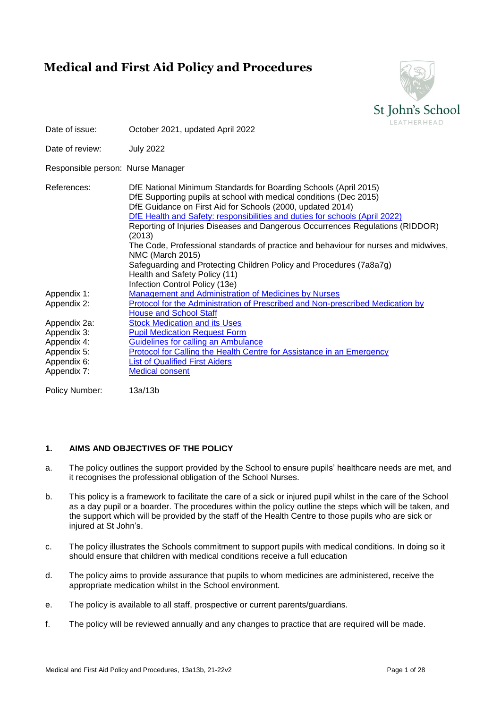# **Medical and First Aid Policy and Procedures**



| Date of issue:                    | October 2021, updated April 2022                                                                                                                                                                                                                                                                                                                                                                                                                                                                                                                                                                                                           | LEATHERHEAD |
|-----------------------------------|--------------------------------------------------------------------------------------------------------------------------------------------------------------------------------------------------------------------------------------------------------------------------------------------------------------------------------------------------------------------------------------------------------------------------------------------------------------------------------------------------------------------------------------------------------------------------------------------------------------------------------------------|-------------|
| Date of review:                   | <b>July 2022</b>                                                                                                                                                                                                                                                                                                                                                                                                                                                                                                                                                                                                                           |             |
| Responsible person: Nurse Manager |                                                                                                                                                                                                                                                                                                                                                                                                                                                                                                                                                                                                                                            |             |
| References:                       | DfE National Minimum Standards for Boarding Schools (April 2015)<br>DfE Supporting pupils at school with medical conditions (Dec 2015)<br>DfE Guidance on First Aid for Schools (2000, updated 2014)<br>DfE Health and Safety: responsibilities and duties for schools (April 2022)<br>Reporting of Injuries Diseases and Dangerous Occurrences Regulations (RIDDOR)<br>(2013)<br>The Code, Professional standards of practice and behaviour for nurses and midwives,<br><b>NMC (March 2015)</b><br>Safeguarding and Protecting Children Policy and Procedures (7a8a7g)<br>Health and Safety Policy (11)<br>Infection Control Policy (13e) |             |
| Appendix 1:                       | <b>Management and Administration of Medicines by Nurses</b>                                                                                                                                                                                                                                                                                                                                                                                                                                                                                                                                                                                |             |
| Appendix 2:                       | Protocol for the Administration of Prescribed and Non-prescribed Medication by<br><b>House and School Staff</b>                                                                                                                                                                                                                                                                                                                                                                                                                                                                                                                            |             |
| Appendix 2a:                      | <b>Stock Medication and its Uses</b>                                                                                                                                                                                                                                                                                                                                                                                                                                                                                                                                                                                                       |             |
| Appendix 3:                       | <b>Pupil Medication Request Form</b>                                                                                                                                                                                                                                                                                                                                                                                                                                                                                                                                                                                                       |             |
| Appendix 4:                       | Guidelines for calling an Ambulance                                                                                                                                                                                                                                                                                                                                                                                                                                                                                                                                                                                                        |             |
| Appendix 5:                       | <b>Protocol for Calling the Health Centre for Assistance in an Emergency</b>                                                                                                                                                                                                                                                                                                                                                                                                                                                                                                                                                               |             |
| Appendix 6:                       | <b>List of Qualified First Aiders</b>                                                                                                                                                                                                                                                                                                                                                                                                                                                                                                                                                                                                      |             |
| Appendix 7:                       | <b>Medical consent</b>                                                                                                                                                                                                                                                                                                                                                                                                                                                                                                                                                                                                                     |             |
|                                   |                                                                                                                                                                                                                                                                                                                                                                                                                                                                                                                                                                                                                                            |             |

Policy Number: 13a/13b

## **1. AIMS AND OBJECTIVES OF THE POLICY**

- a. The policy outlines the support provided by the School to ensure pupils' healthcare needs are met, and it recognises the professional obligation of the School Nurses.
- b. This policy is a framework to facilitate the care of a sick or injured pupil whilst in the care of the School as a day pupil or a boarder. The procedures within the policy outline the steps which will be taken, and the support which will be provided by the staff of the Health Centre to those pupils who are sick or injured at St John's.
- c. The policy illustrates the Schools commitment to support pupils with medical conditions. In doing so it should ensure that children with medical conditions receive a full education
- d. The policy aims to provide assurance that pupils to whom medicines are administered, receive the appropriate medication whilst in the School environment.
- e. The policy is available to all staff, prospective or current parents/guardians.
- f. The policy will be reviewed annually and any changes to practice that are required will be made.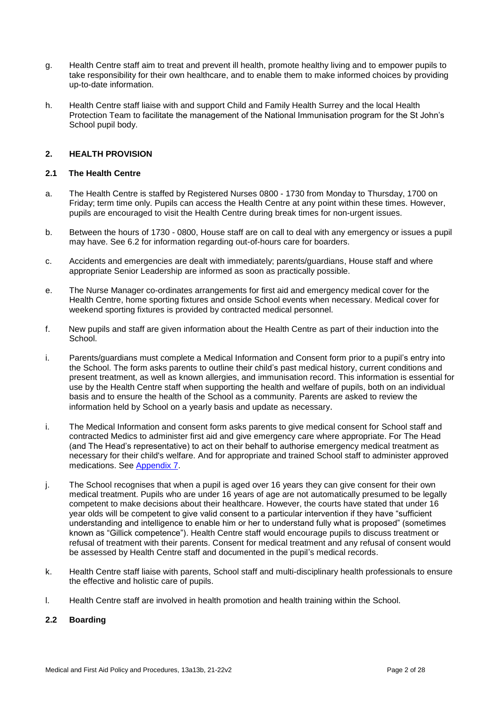- g. Health Centre staff aim to treat and prevent ill health, promote healthy living and to empower pupils to take responsibility for their own healthcare, and to enable them to make informed choices by providing up-to-date information.
- h. Health Centre staff liaise with and support Child and Family Health Surrey and the local Health Protection Team to facilitate the management of the National Immunisation program for the St John's School pupil body.

### **2. HEALTH PROVISION**

## **2.1 The Health Centre**

- a. The Health Centre is staffed by Registered Nurses 0800 1730 from Monday to Thursday, 1700 on Friday; term time only. Pupils can access the Health Centre at any point within these times. However, pupils are encouraged to visit the Health Centre during break times for non-urgent issues.
- b. Between the hours of 1730 0800, House staff are on call to deal with any emergency or issues a pupil may have. See 6.2 for information regarding out-of-hours care for boarders.
- c. Accidents and emergencies are dealt with immediately; parents/guardians, House staff and where appropriate Senior Leadership are informed as soon as practically possible.
- e. The Nurse Manager co-ordinates arrangements for first aid and emergency medical cover for the Health Centre, home sporting fixtures and onside School events when necessary. Medical cover for weekend sporting fixtures is provided by contracted medical personnel.
- f. New pupils and staff are given information about the Health Centre as part of their induction into the School.
- i. Parents/guardians must complete a Medical Information and Consent form prior to a pupil's entry into the School. The form asks parents to outline their child's past medical history, current conditions and present treatment, as well as known allergies, and immunisation record. This information is essential for use by the Health Centre staff when supporting the health and welfare of pupils, both on an individual basis and to ensure the health of the School as a community. Parents are asked to review the information held by School on a yearly basis and update as necessary.
- i. The Medical Information and consent form asks parents to give medical consent for School staff and contracted Medics to administer first aid and give emergency care where appropriate. For The Head (and The Head's representative) to act on their behalf to authorise emergency medical treatment as necessary for their child's welfare. And for appropriate and trained School staff to administer approved medications. See [Appendix 7.](#page-27-0)
- j. The School recognises that when a pupil is aged over 16 years they can give consent for their own medical treatment. Pupils who are under 16 years of age are not automatically presumed to be legally competent to make decisions about their healthcare. However, the courts have stated that under 16 year olds will be competent to give valid consent to a particular intervention if they have "sufficient understanding and intelligence to enable him or her to understand fully what is proposed" (sometimes known as "Gillick competence"). Health Centre staff would encourage pupils to discuss treatment or refusal of treatment with their parents. Consent for medical treatment and any refusal of consent would be assessed by Health Centre staff and documented in the pupil's medical records.
- k. Health Centre staff liaise with parents, School staff and multi-disciplinary health professionals to ensure the effective and holistic care of pupils.
- l. Health Centre staff are involved in health promotion and health training within the School.

#### **2.2 Boarding**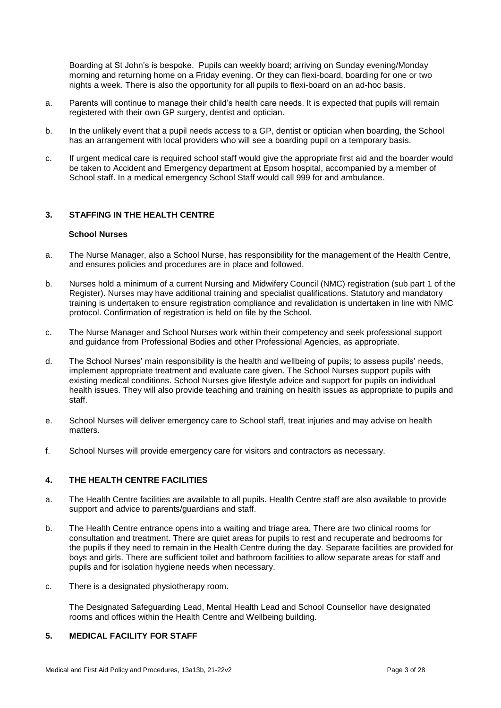Boarding at St John's is bespoke. Pupils can weekly board; arriving on Sunday evening/Monday morning and returning home on a Friday evening. Or they can flexi-board, boarding for one or two nights a week. There is also the opportunity for all pupils to flexi-board on an ad-hoc basis.

- a. Parents will continue to manage their child's health care needs. It is expected that pupils will remain registered with their own GP surgery, dentist and optician.
- b. In the unlikely event that a pupil needs access to a GP, dentist or optician when boarding, the School has an arrangement with local providers who will see a boarding pupil on a temporary basis.
- c. If urgent medical care is required school staff would give the appropriate first aid and the boarder would be taken to Accident and Emergency department at Epsom hospital, accompanied by a member of School staff. In a medical emergency School Staff would call 999 for and ambulance.

## **3. STAFFING IN THE HEALTH CENTRE**

#### **School Nurses**

- a. The Nurse Manager, also a School Nurse, has responsibility for the management of the Health Centre, and ensures policies and procedures are in place and followed.
- b. Nurses hold a minimum of a current Nursing and Midwifery Council (NMC) registration (sub part 1 of the Register). Nurses may have additional training and specialist qualifications. Statutory and mandatory training is undertaken to ensure registration compliance and revalidation is undertaken in line with NMC protocol. Confirmation of registration is held on file by the School.
- c. The Nurse Manager and School Nurses work within their competency and seek professional support and guidance from Professional Bodies and other Professional Agencies, as appropriate.
- d. The School Nurses' main responsibility is the health and wellbeing of pupils; to assess pupils' needs, implement appropriate treatment and evaluate care given. The School Nurses support pupils with existing medical conditions. School Nurses give lifestyle advice and support for pupils on individual health issues. They will also provide teaching and training on health issues as appropriate to pupils and staff.
- e. School Nurses will deliver emergency care to School staff, treat injuries and may advise on health matters.
- f. School Nurses will provide emergency care for visitors and contractors as necessary.

## **4. THE HEALTH CENTRE FACILITIES**

- a. The Health Centre facilities are available to all pupils. Health Centre staff are also available to provide support and advice to parents/guardians and staff.
- b. The Health Centre entrance opens into a waiting and triage area. There are two clinical rooms for consultation and treatment. There are quiet areas for pupils to rest and recuperate and bedrooms for the pupils if they need to remain in the Health Centre during the day. Separate facilities are provided for boys and girls. There are sufficient toilet and bathroom facilities to allow separate areas for staff and pupils and for isolation hygiene needs when necessary.
- c. There is a designated physiotherapy room.

The Designated Safeguarding Lead, Mental Health Lead and School Counsellor have designated rooms and offices within the Health Centre and Wellbeing building.

### **5. MEDICAL FACILITY FOR STAFF**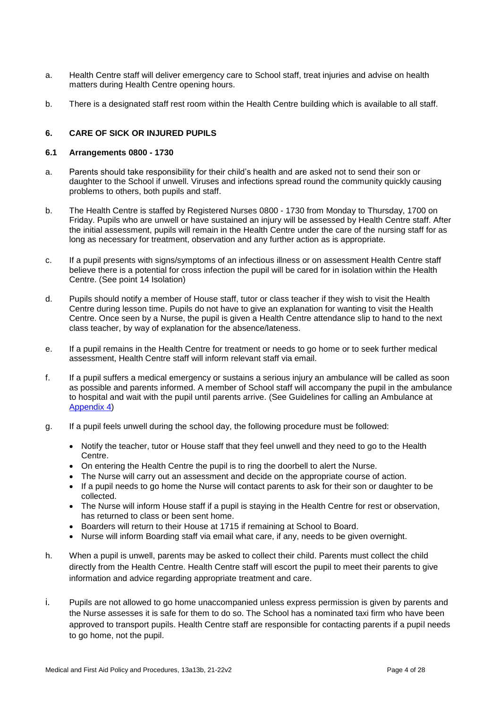- a. Health Centre staff will deliver emergency care to School staff, treat injuries and advise on health matters during Health Centre opening hours.
- b. There is a designated staff rest room within the Health Centre building which is available to all staff.

### **6. CARE OF SICK OR INJURED PUPILS**

#### **6.1 Arrangements 0800 - 1730**

- a. Parents should take responsibility for their child's health and are asked not to send their son or daughter to the School if unwell. Viruses and infections spread round the community quickly causing problems to others, both pupils and staff.
- b. The Health Centre is staffed by Registered Nurses 0800 1730 from Monday to Thursday, 1700 on Friday. Pupils who are unwell or have sustained an injury will be assessed by Health Centre staff. After the initial assessment, pupils will remain in the Health Centre under the care of the nursing staff for as long as necessary for treatment, observation and any further action as is appropriate.
- c. If a pupil presents with signs/symptoms of an infectious illness or on assessment Health Centre staff believe there is a potential for cross infection the pupil will be cared for in isolation within the Health Centre. (See point 14 Isolation)
- d. Pupils should notify a member of House staff, tutor or class teacher if they wish to visit the Health Centre during lesson time. Pupils do not have to give an explanation for wanting to visit the Health Centre. Once seen by a Nurse, the pupil is given a Health Centre attendance slip to hand to the next class teacher, by way of explanation for the absence/lateness.
- e. If a pupil remains in the Health Centre for treatment or needs to go home or to seek further medical assessment, Health Centre staff will inform relevant staff via email.
- f. If a pupil suffers a medical emergency or sustains a serious injury an ambulance will be called as soon as possible and parents informed. A member of School staff will accompany the pupil in the ambulance to hospital and wait with the pupil until parents arrive. (See Guidelines for calling an Ambulance at [Appendix 4\)](#page-24-0)
- g. If a pupil feels unwell during the school day, the following procedure must be followed:
	- Notify the teacher, tutor or House staff that they feel unwell and they need to go to the Health Centre.
	- On entering the Health Centre the pupil is to ring the doorbell to alert the Nurse.
	- The Nurse will carry out an assessment and decide on the appropriate course of action.
	- If a pupil needs to go home the Nurse will contact parents to ask for their son or daughter to be collected.
	- The Nurse will inform House staff if a pupil is staying in the Health Centre for rest or observation, has returned to class or been sent home.
	- Boarders will return to their House at 1715 if remaining at School to Board.
	- Nurse will inform Boarding staff via email what care, if any, needs to be given overnight.
- h. When a pupil is unwell, parents may be asked to collect their child. Parents must collect the child directly from the Health Centre. Health Centre staff will escort the pupil to meet their parents to give information and advice regarding appropriate treatment and care.
- i. Pupils are not allowed to go home unaccompanied unless express permission is given by parents and the Nurse assesses it is safe for them to do so. The School has a nominated taxi firm who have been approved to transport pupils. Health Centre staff are responsible for contacting parents if a pupil needs to go home, not the pupil.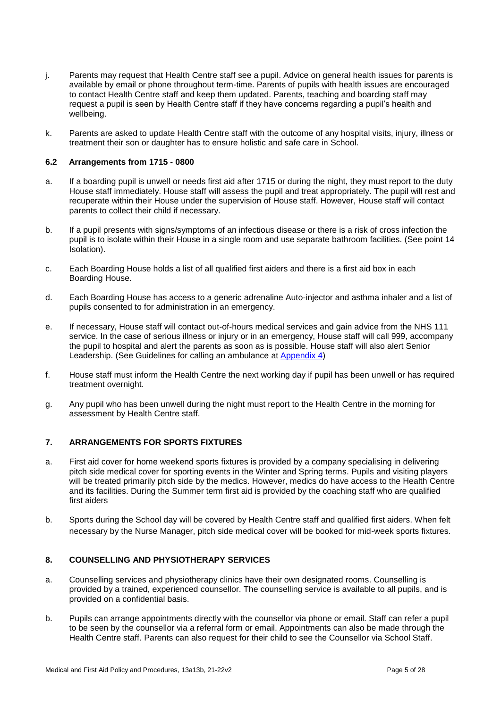- j. Parents may request that Health Centre staff see a pupil. Advice on general health issues for parents is available by email or phone throughout term-time. Parents of pupils with health issues are encouraged to contact Health Centre staff and keep them updated. Parents, teaching and boarding staff may request a pupil is seen by Health Centre staff if they have concerns regarding a pupil's health and wellbeing.
- k. Parents are asked to update Health Centre staff with the outcome of any hospital visits, injury, illness or treatment their son or daughter has to ensure holistic and safe care in School.

#### **6.2 Arrangements from 1715 - 0800**

- a. If a boarding pupil is unwell or needs first aid after 1715 or during the night, they must report to the duty House staff immediately. House staff will assess the pupil and treat appropriately. The pupil will rest and recuperate within their House under the supervision of House staff. However, House staff will contact parents to collect their child if necessary.
- b. If a pupil presents with signs/symptoms of an infectious disease or there is a risk of cross infection the pupil is to isolate within their House in a single room and use separate bathroom facilities. (See point 14 Isolation).
- c. Each Boarding House holds a list of all qualified first aiders and there is a first aid box in each Boarding House.
- d. Each Boarding House has access to a generic adrenaline Auto-injector and asthma inhaler and a list of pupils consented to for administration in an emergency.
- e. If necessary, House staff will contact out-of-hours medical services and gain advice from the NHS 111 service. In the case of serious illness or injury or in an emergency, House staff will call 999, accompany the pupil to hospital and alert the parents as soon as is possible. House staff will also alert Senior Leadership. (See Guidelines for calling an ambulance at [Appendix 4\)](#page-24-0)
- f. House staff must inform the Health Centre the next working day if pupil has been unwell or has required treatment overnight.
- g. Any pupil who has been unwell during the night must report to the Health Centre in the morning for assessment by Health Centre staff.

#### **7. ARRANGEMENTS FOR SPORTS FIXTURES**

- a. First aid cover for home weekend sports fixtures is provided by a company specialising in delivering pitch side medical cover for sporting events in the Winter and Spring terms. Pupils and visiting players will be treated primarily pitch side by the medics. However, medics do have access to the Health Centre and its facilities. During the Summer term first aid is provided by the coaching staff who are qualified first aiders
- b. Sports during the School day will be covered by Health Centre staff and qualified first aiders. When felt necessary by the Nurse Manager, pitch side medical cover will be booked for mid-week sports fixtures.

#### **8. COUNSELLING AND PHYSIOTHERAPY SERVICES**

- a. Counselling services and physiotherapy clinics have their own designated rooms. Counselling is provided by a trained, experienced counsellor. The counselling service is available to all pupils, and is provided on a confidential basis.
- b. Pupils can arrange appointments directly with the counsellor via phone or email. Staff can refer a pupil to be seen by the counsellor via a referral form or email. Appointments can also be made through the Health Centre staff. Parents can also request for their child to see the Counsellor via School Staff.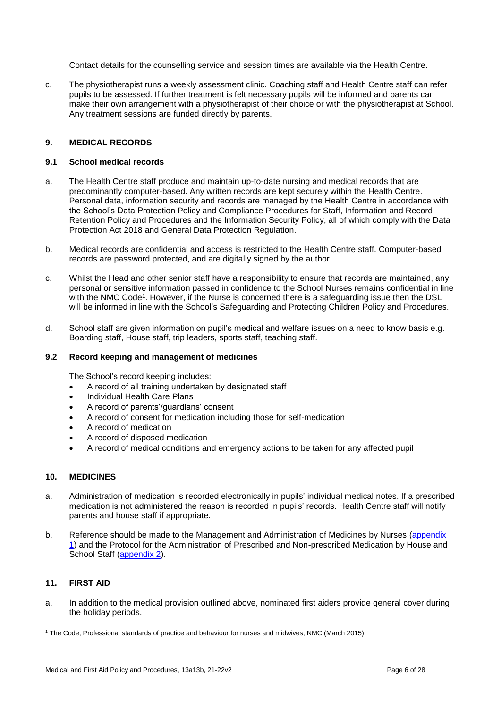Contact details for the counselling service and session times are available via the Health Centre.

c. The physiotherapist runs a weekly assessment clinic. Coaching staff and Health Centre staff can refer pupils to be assessed. If further treatment is felt necessary pupils will be informed and parents can make their own arrangement with a physiotherapist of their choice or with the physiotherapist at School. Any treatment sessions are funded directly by parents.

## **9. MEDICAL RECORDS**

#### **9.1 School medical records**

- a. The Health Centre staff produce and maintain up-to-date nursing and medical records that are predominantly computer-based. Any written records are kept securely within the Health Centre. Personal data, information security and records are managed by the Health Centre in accordance with the School's Data Protection Policy and Compliance Procedures for Staff, Information and Record Retention Policy and Procedures and the Information Security Policy, all of which comply with the Data Protection Act 2018 and General Data Protection Regulation.
- b. Medical records are confidential and access is restricted to the Health Centre staff. Computer-based records are password protected, and are digitally signed by the author.
- c. Whilst the Head and other senior staff have a responsibility to ensure that records are maintained, any personal or sensitive information passed in confidence to the School Nurses remains confidential in line with the NMC Code<sup>1</sup>. However, if the Nurse is concerned there is a safeguarding issue then the DSL will be informed in line with the School's Safeguarding and Protecting Children Policy and Procedures.
- d. School staff are given information on pupil's medical and welfare issues on a need to know basis e.g. Boarding staff, House staff, trip leaders, sports staff, teaching staff.

## **9.2 Record keeping and management of medicines**

The School's record keeping includes:

- A record of all training undertaken by designated staff
- Individual Health Care Plans
- A record of parents'/guardians' consent
- A record of consent for medication including those for self-medication
- A record of medication
- A record of disposed medication
- A record of medical conditions and emergency actions to be taken for any affected pupil

## **10. MEDICINES**

- a. Administration of medication is recorded electronically in pupils' individual medical notes. If a prescribed medication is not administered the reason is recorded in pupils' records. Health Centre staff will notify parents and house staff if appropriate.
- b. Reference should be made to the Management and Administration of Medicines by Nurses (appendix [1\)](#page-11-0) and the Protocol for the Administration of Prescribed and Non-prescribed Medication by House and School Staff [\(appendix 2\)](#page-14-0).

## **11. FIRST AID**

a. In addition to the medical provision outlined above, nominated first aiders provide general cover during the holiday periods.

<sup>-</sup><sup>1</sup> The Code, Professional standards of practice and behaviour for nurses and midwives, NMC (March 2015)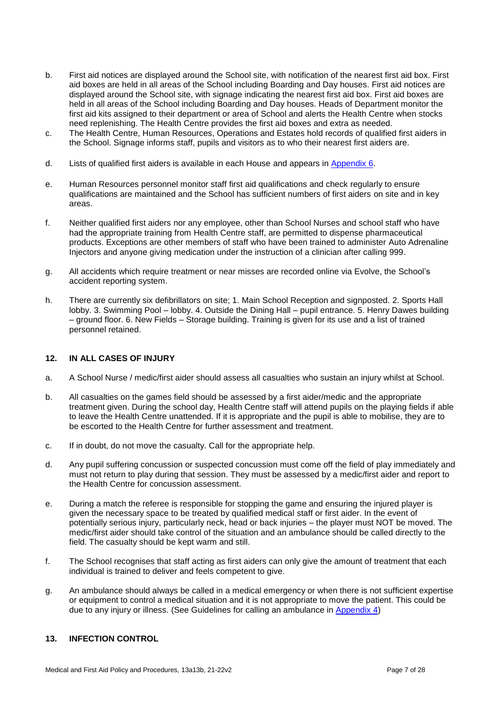- b. First aid notices are displayed around the School site, with notification of the nearest first aid box. First aid boxes are held in all areas of the School including Boarding and Day houses. First aid notices are displayed around the School site, with signage indicating the nearest first aid box. First aid boxes are held in all areas of the School including Boarding and Day houses. Heads of Department monitor the first aid kits assigned to their department or area of School and alerts the Health Centre when stocks need replenishing. The Health Centre provides the first aid boxes and extra as needed.
- c. The Health Centre, Human Resources, Operations and Estates hold records of qualified first aiders in the School. Signage informs staff, pupils and visitors as to who their nearest first aiders are.
- d. Lists of qualified first aiders is available in each House and appears in [Appendix 6.](#page-26-1)
- e. Human Resources personnel monitor staff first aid qualifications and check regularly to ensure qualifications are maintained and the School has sufficient numbers of first aiders on site and in key areas.
- f. Neither qualified first aiders nor any employee, other than School Nurses and school staff who have had the appropriate training from Health Centre staff, are permitted to dispense pharmaceutical products. Exceptions are other members of staff who have been trained to administer Auto Adrenaline Injectors and anyone giving medication under the instruction of a clinician after calling 999.
- g. All accidents which require treatment or near misses are recorded online via Evolve, the School's accident reporting system.
- h. There are currently six defibrillators on site; 1. Main School Reception and signposted. 2. Sports Hall lobby. 3. Swimming Pool – lobby. 4. Outside the Dining Hall – pupil entrance. 5. Henry Dawes building – ground floor. 6. New Fields – Storage building. Training is given for its use and a list of trained personnel retained.

#### **12. IN ALL CASES OF INJURY**

- a. A School Nurse / medic/first aider should assess all casualties who sustain an injury whilst at School.
- b. All casualties on the games field should be assessed by a first aider/medic and the appropriate treatment given. During the school day, Health Centre staff will attend pupils on the playing fields if able to leave the Health Centre unattended. If it is appropriate and the pupil is able to mobilise, they are to be escorted to the Health Centre for further assessment and treatment.
- c. If in doubt, do not move the casualty. Call for the appropriate help.
- d. Any pupil suffering concussion or suspected concussion must come off the field of play immediately and must not return to play during that session. They must be assessed by a medic/first aider and report to the Health Centre for concussion assessment.
- e. During a match the referee is responsible for stopping the game and ensuring the injured player is given the necessary space to be treated by qualified medical staff or first aider. In the event of potentially serious injury, particularly neck, head or back injuries – the player must NOT be moved. The medic/first aider should take control of the situation and an ambulance should be called directly to the field. The casualty should be kept warm and still.
- f. The School recognises that staff acting as first aiders can only give the amount of treatment that each individual is trained to deliver and feels competent to give.
- g. An ambulance should always be called in a medical emergency or when there is not sufficient expertise or equipment to control a medical situation and it is not appropriate to move the patient. This could be due to any injury or illness. (See Guidelines for calling an ambulance in [Appendix 4\)](#page-24-0)

## **13. INFECTION CONTROL**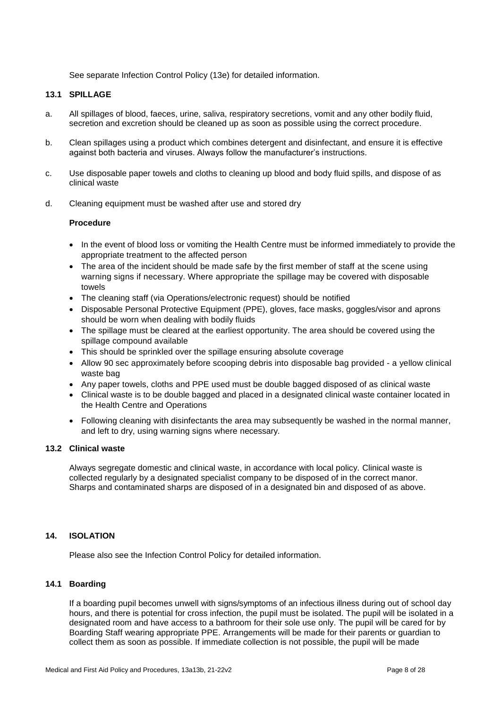See separate Infection Control Policy (13e) for detailed information.

#### **13.1 SPILLAGE**

- a. All spillages of blood, faeces, urine, saliva, respiratory secretions, vomit and any other bodily fluid, secretion and excretion should be cleaned up as soon as possible using the correct procedure.
- b. Clean spillages using a product which combines detergent and disinfectant, and ensure it is effective against both bacteria and viruses. Always follow the manufacturer's instructions.
- c. Use disposable paper towels and cloths to cleaning up blood and body fluid spills, and dispose of as clinical waste
- d. Cleaning equipment must be washed after use and stored dry

#### **Procedure**

- In the event of blood loss or vomiting the Health Centre must be informed immediately to provide the appropriate treatment to the affected person
- The area of the incident should be made safe by the first member of staff at the scene using warning signs if necessary. Where appropriate the spillage may be covered with disposable towels
- The cleaning staff (via Operations/electronic request) should be notified
- Disposable Personal Protective Equipment (PPE), gloves, face masks, goggles/visor and aprons should be worn when dealing with bodily fluids
- The spillage must be cleared at the earliest opportunity. The area should be covered using the spillage compound available
- This should be sprinkled over the spillage ensuring absolute coverage
- Allow 90 sec approximately before scooping debris into disposable bag provided a yellow clinical waste bag
- Any paper towels, cloths and PPE used must be double bagged disposed of as clinical waste
- Clinical waste is to be double bagged and placed in a designated clinical waste container located in the Health Centre and Operations
- Following cleaning with disinfectants the area may subsequently be washed in the normal manner, and left to dry, using warning signs where necessary.

#### **13.2 Clinical waste**

Always segregate domestic and clinical waste, in accordance with local policy. Clinical waste is collected regularly by a designated specialist company to be disposed of in the correct manor. Sharps and contaminated sharps are disposed of in a designated bin and disposed of as above.

## **14. ISOLATION**

Please also see the Infection Control Policy for detailed information.

## **14.1 Boarding**

If a boarding pupil becomes unwell with signs/symptoms of an infectious illness during out of school day hours, and there is potential for cross infection, the pupil must be isolated. The pupil will be isolated in a designated room and have access to a bathroom for their sole use only. The pupil will be cared for by Boarding Staff wearing appropriate PPE. Arrangements will be made for their parents or guardian to collect them as soon as possible. If immediate collection is not possible, the pupil will be made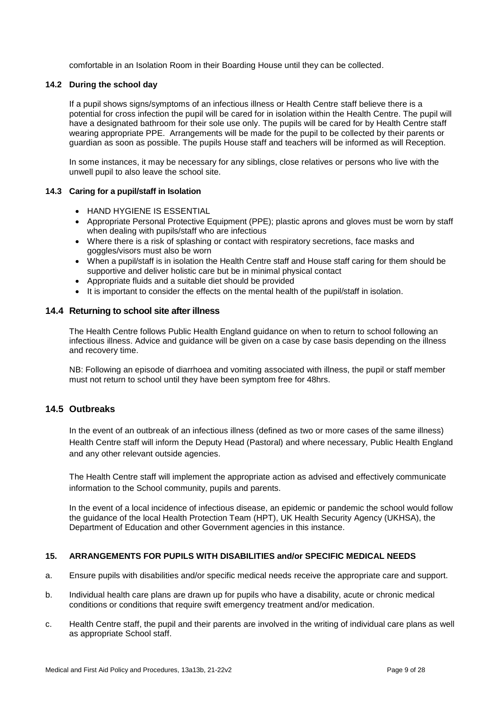comfortable in an Isolation Room in their Boarding House until they can be collected.

#### **14.2 During the school day**

If a pupil shows signs/symptoms of an infectious illness or Health Centre staff believe there is a potential for cross infection the pupil will be cared for in isolation within the Health Centre. The pupil will have a designated bathroom for their sole use only. The pupils will be cared for by Health Centre staff wearing appropriate PPE. Arrangements will be made for the pupil to be collected by their parents or guardian as soon as possible. The pupils House staff and teachers will be informed as will Reception.

In some instances, it may be necessary for any siblings, close relatives or persons who live with the unwell pupil to also leave the school site.

## **14.3 Caring for a pupil/staff in Isolation**

- **HAND HYGIENE IS ESSENTIAL**
- Appropriate Personal Protective Equipment (PPE); plastic aprons and gloves must be worn by staff when dealing with pupils/staff who are infectious
- Where there is a risk of splashing or contact with respiratory secretions, face masks and goggles/visors must also be worn
- When a pupil/staff is in isolation the Health Centre staff and House staff caring for them should be supportive and deliver holistic care but be in minimal physical contact
- Appropriate fluids and a suitable diet should be provided
- It is important to consider the effects on the mental health of the pupil/staff in isolation.

#### **14.4 Returning to school site after illness**

The Health Centre follows Public Health England guidance on when to return to school following an infectious illness. Advice and guidance will be given on a case by case basis depending on the illness and recovery time.

NB: Following an episode of diarrhoea and vomiting associated with illness, the pupil or staff member must not return to school until they have been symptom free for 48hrs.

## **14.5 Outbreaks**

In the event of an outbreak of an infectious illness (defined as two or more cases of the same illness) Health Centre staff will inform the Deputy Head (Pastoral) and where necessary, Public Health England and any other relevant outside agencies.

The Health Centre staff will implement the appropriate action as advised and effectively communicate information to the School community, pupils and parents.

In the event of a local incidence of infectious disease, an epidemic or pandemic the school would follow the guidance of the local Health Protection Team (HPT), UK Health Security Agency (UKHSA), the Department of Education and other Government agencies in this instance.

#### **15. ARRANGEMENTS FOR PUPILS WITH DISABILITIES and/or SPECIFIC MEDICAL NEEDS**

- a. Ensure pupils with disabilities and/or specific medical needs receive the appropriate care and support.
- b. Individual health care plans are drawn up for pupils who have a disability, acute or chronic medical conditions or conditions that require swift emergency treatment and/or medication.
- c. Health Centre staff, the pupil and their parents are involved in the writing of individual care plans as well as appropriate School staff.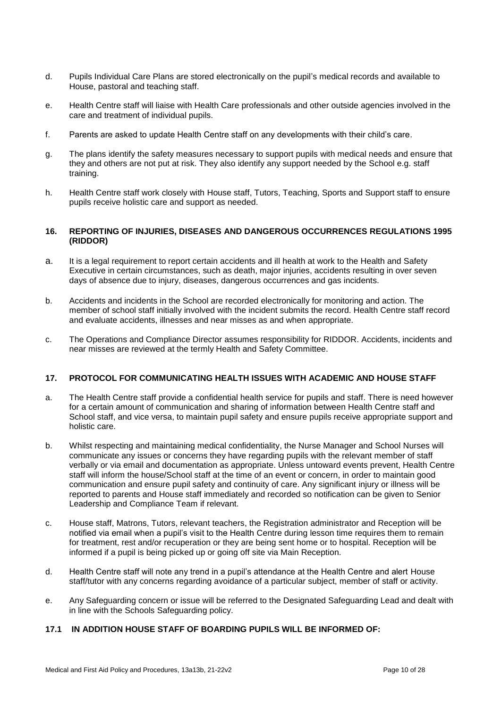- d. Pupils Individual Care Plans are stored electronically on the pupil's medical records and available to House, pastoral and teaching staff.
- e. Health Centre staff will liaise with Health Care professionals and other outside agencies involved in the care and treatment of individual pupils.
- f. Parents are asked to update Health Centre staff on any developments with their child's care.
- g. The plans identify the safety measures necessary to support pupils with medical needs and ensure that they and others are not put at risk. They also identify any support needed by the School e.g. staff training.
- h. Health Centre staff work closely with House staff, Tutors, Teaching, Sports and Support staff to ensure pupils receive holistic care and support as needed.

#### **16. REPORTING OF INJURIES, DISEASES AND DANGEROUS OCCURRENCES REGULATIONS 1995 (RIDDOR)**

- a. It is a legal requirement to report certain accidents and ill health at work to the Health and Safety Executive in certain circumstances, such as death, major injuries, accidents resulting in over seven days of absence due to injury, diseases, dangerous occurrences and gas incidents.
- b. Accidents and incidents in the School are recorded electronically for monitoring and action. The member of school staff initially involved with the incident submits the record. Health Centre staff record and evaluate accidents, illnesses and near misses as and when appropriate.
- c. The Operations and Compliance Director assumes responsibility for RIDDOR. Accidents, incidents and near misses are reviewed at the termly Health and Safety Committee.

#### **17. PROTOCOL FOR COMMUNICATING HEALTH ISSUES WITH ACADEMIC AND HOUSE STAFF**

- a. The Health Centre staff provide a confidential health service for pupils and staff. There is need however for a certain amount of communication and sharing of information between Health Centre staff and School staff, and vice versa, to maintain pupil safety and ensure pupils receive appropriate support and holistic care.
- b. Whilst respecting and maintaining medical confidentiality, the Nurse Manager and School Nurses will communicate any issues or concerns they have regarding pupils with the relevant member of staff verbally or via email and documentation as appropriate. Unless untoward events prevent, Health Centre staff will inform the house/School staff at the time of an event or concern, in order to maintain good communication and ensure pupil safety and continuity of care. Any significant injury or illness will be reported to parents and House staff immediately and recorded so notification can be given to Senior Leadership and Compliance Team if relevant.
- c. House staff, Matrons, Tutors, relevant teachers, the Registration administrator and Reception will be notified via email when a pupil's visit to the Health Centre during lesson time requires them to remain for treatment, rest and/or recuperation or they are being sent home or to hospital. Reception will be informed if a pupil is being picked up or going off site via Main Reception.
- d. Health Centre staff will note any trend in a pupil's attendance at the Health Centre and alert House staff/tutor with any concerns regarding avoidance of a particular subject, member of staff or activity.
- e. Any Safeguarding concern or issue will be referred to the Designated Safeguarding Lead and dealt with in line with the Schools Safeguarding policy.

## **17.1 IN ADDITION HOUSE STAFF OF BOARDING PUPILS WILL BE INFORMED OF:**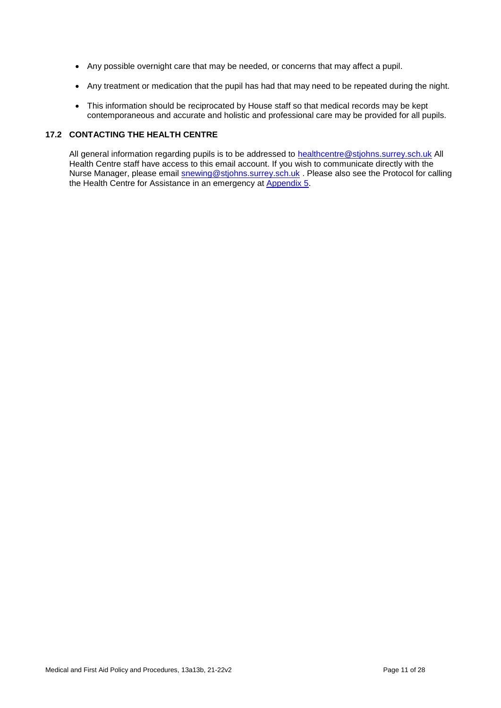- Any possible overnight care that may be needed, or concerns that may affect a pupil.
- Any treatment or medication that the pupil has had that may need to be repeated during the night.
- This information should be reciprocated by House staff so that medical records may be kept contemporaneous and accurate and holistic and professional care may be provided for all pupils.

## **17.2 CONTACTING THE HEALTH CENTRE**

All general information regarding pupils is to be addressed to **healthcentre@stjohns.surrey.sch.uk** All Health Centre staff have access to this email account. If you wish to communicate directly with the Nurse Manager, please email **snewing@stjohns.surrey.sch.uk** . Please also see the Protocol for calling the Health Centre for Assistance in an emergency at [Appendix 5.](#page-26-0)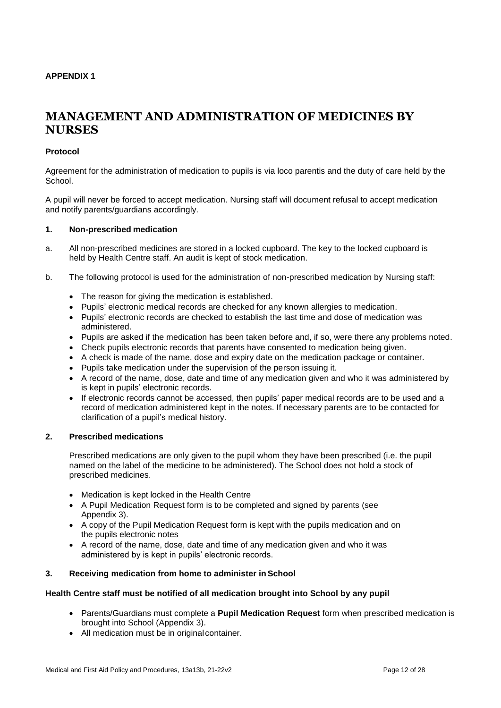#### <span id="page-11-0"></span>**APPENDIX 1**

# **MANAGEMENT AND ADMINISTRATION OF MEDICINES BY NURSES**

#### **Protocol**

Agreement for the administration of medication to pupils is via loco parentis and the duty of care held by the School.

A pupil will never be forced to accept medication. Nursing staff will document refusal to accept medication and notify parents/guardians accordingly.

#### **1. Non-prescribed medication**

- a. All non-prescribed medicines are stored in a locked cupboard. The key to the locked cupboard is held by Health Centre staff. An audit is kept of stock medication.
- b. The following protocol is used for the administration of non-prescribed medication by Nursing staff:
	- The reason for giving the medication is established.
	- Pupils' electronic medical records are checked for any known allergies to medication.
	- Pupils' electronic records are checked to establish the last time and dose of medication was administered.
	- Pupils are asked if the medication has been taken before and, if so, were there any problems noted.
	- Check pupils electronic records that parents have consented to medication being given.
	- A check is made of the name, dose and expiry date on the medication package or container.
	- Pupils take medication under the supervision of the person issuing it.
	- A record of the name, dose, date and time of any medication given and who it was administered by is kept in pupils' electronic records.
	- If electronic records cannot be accessed, then pupils' paper medical records are to be used and a record of medication administered kept in the notes. If necessary parents are to be contacted for clarification of a pupil's medical history.

#### **2. Prescribed medications**

Prescribed medications are only given to the pupil whom they have been prescribed (i.e. the pupil named on the label of the medicine to be administered). The School does not hold a stock of prescribed medicines.

- Medication is kept locked in the Health Centre
- A Pupil Medication Request form is to be completed and signed by parents (see Appendix 3).
- A copy of the Pupil Medication Request form is kept with the pupils medication and on the pupils electronic notes
- A record of the name, dose, date and time of any medication given and who it was administered by is kept in pupils' electronic records.

## **3. Receiving medication from home to administer in School**

### **Health Centre staff must be notified of all medication brought into School by any pupil**

- Parents/Guardians must complete a **Pupil Medication Request** form when prescribed medication is brought into School (Appendix 3).
- All medication must be in original container.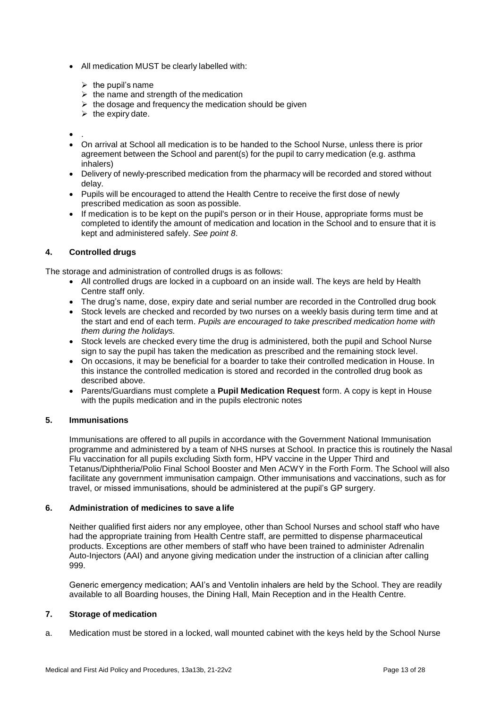- All medication MUST be clearly labelled with:
	- $\triangleright$  the pupil's name
	- $\triangleright$  the name and strength of the medication
	- $\triangleright$  the dosage and frequency the medication should be given
	- $\triangleright$  the expiry date.

 $\bullet$ .

- On arrival at School all medication is to be handed to the School Nurse, unless there is prior agreement between the School and parent(s) for the pupil to carry medication (e.g. asthma inhalers)
- Delivery of newly-prescribed medication from the pharmacy will be recorded and stored without delay.
- Pupils will be encouraged to attend the Health Centre to receive the first dose of newly prescribed medication as soon as possible.
- If medication is to be kept on the pupil's person or in their House, appropriate forms must be completed to identify the amount of medication and location in the School and to ensure that it is kept and administered safely. *See point 8*.

#### **4. Controlled drugs**

The storage and administration of controlled drugs is as follows:

- All controlled drugs are locked in a cupboard on an inside wall. The keys are held by Health Centre staff only.
- The drug's name, dose, expiry date and serial number are recorded in the Controlled drug book
- Stock levels are checked and recorded by two nurses on a weekly basis during term time and at the start and end of each term. *Pupils are encouraged to take prescribed medication home with them during the holidays.*
- Stock levels are checked every time the drug is administered, both the pupil and School Nurse sign to say the pupil has taken the medication as prescribed and the remaining stock level.
- On occasions, it may be beneficial for a boarder to take their controlled medication in House. In this instance the controlled medication is stored and recorded in the controlled drug book as described above.
- Parents/Guardians must complete a **Pupil Medication Request** form. A copy is kept in House with the pupils medication and in the pupils electronic notes

## **5. Immunisations**

Immunisations are offered to all pupils in accordance with the Government National Immunisation programme and administered by a team of NHS nurses at School. In practice this is routinely the Nasal Flu vaccination for all pupils excluding Sixth form, HPV vaccine in the Upper Third and Tetanus/Diphtheria/Polio Final School Booster and Men ACWY in the Forth Form. The School will also facilitate any government immunisation campaign. Other immunisations and vaccinations, such as for travel, or missed immunisations, should be administered at the pupil's GP surgery.

## **6. Administration of medicines to save a life**

Neither qualified first aiders nor any employee, other than School Nurses and school staff who have had the appropriate training from Health Centre staff, are permitted to dispense pharmaceutical products. Exceptions are other members of staff who have been trained to administer Adrenalin Auto-Injectors (AAI) and anyone giving medication under the instruction of a clinician after calling 999.

Generic emergency medication; AAI's and Ventolin inhalers are held by the School. They are readily available to all Boarding houses, the Dining Hall, Main Reception and in the Health Centre.

#### **7. Storage of medication**

a. Medication must be stored in a locked, wall mounted cabinet with the keys held by the School Nurse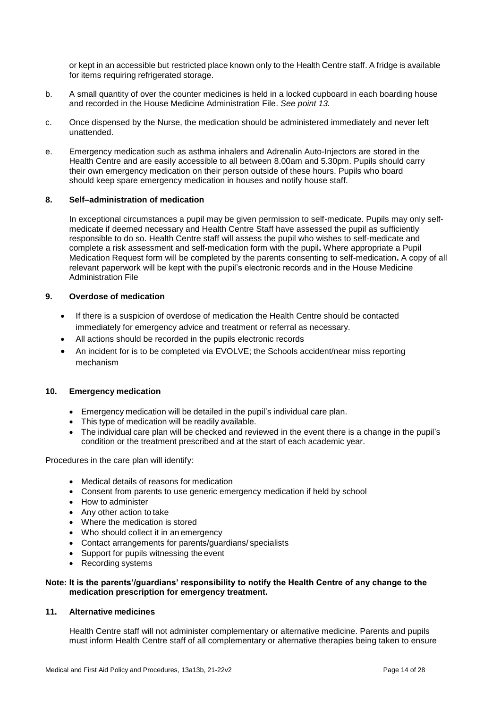or kept in an accessible but restricted place known only to the Health Centre staff. A fridge is available for items requiring refrigerated storage.

- b. A small quantity of over the counter medicines is held in a locked cupboard in each boarding house and recorded in the House Medicine Administration File. *See point 13.*
- c. Once dispensed by the Nurse, the medication should be administered immediately and never left unattended.
- e. Emergency medication such as asthma inhalers and Adrenalin Auto-Injectors are stored in the Health Centre and are easily accessible to all between 8.00am and 5.30pm. Pupils should carry their own emergency medication on their person outside of these hours. Pupils who board should keep spare emergency medication in houses and notify house staff.

#### **8. Self–administration of medication**

In exceptional circumstances a pupil may be given permission to self-medicate. Pupils may only selfmedicate if deemed necessary and Health Centre Staff have assessed the pupil as sufficiently responsible to do so. Health Centre staff will assess the pupil who wishes to self-medicate and complete a risk assessment and self-medication form with the pupil**.** Where appropriate a Pupil Medication Request form will be completed by the parents consenting to self-medication**.** A copy of all relevant paperwork will be kept with the pupil's electronic records and in the House Medicine Administration File

### **9. Overdose of medication**

- If there is a suspicion of overdose of medication the Health Centre should be contacted immediately for emergency advice and treatment or referral as necessary.
- All actions should be recorded in the pupils electronic records
- An incident for is to be completed via EVOLVE; the Schools accident/near miss reporting mechanism

#### **10. Emergency medication**

- Emergency medication will be detailed in the pupil's individual care plan.
- This type of medication will be readily available.
- The individual care plan will be checked and reviewed in the event there is a change in the pupil's condition or the treatment prescribed and at the start of each academic year.

Procedures in the care plan will identify:

- Medical details of reasons for medication
- Consent from parents to use generic emergency medication if held by school
- How to administer
- Any other action to take
- Where the medication is stored
- Who should collect it in an emergency
- Contact arrangements for parents/guardians/ specialists
- Support for pupils witnessing the event
- Recording systems

#### **Note: It is the parents'/guardians' responsibility to notify the Health Centre of any change to the medication prescription for emergency treatment.**

### **11. Alternative medicines**

Health Centre staff will not administer complementary or alternative medicine. Parents and pupils must inform Health Centre staff of all complementary or alternative therapies being taken to ensure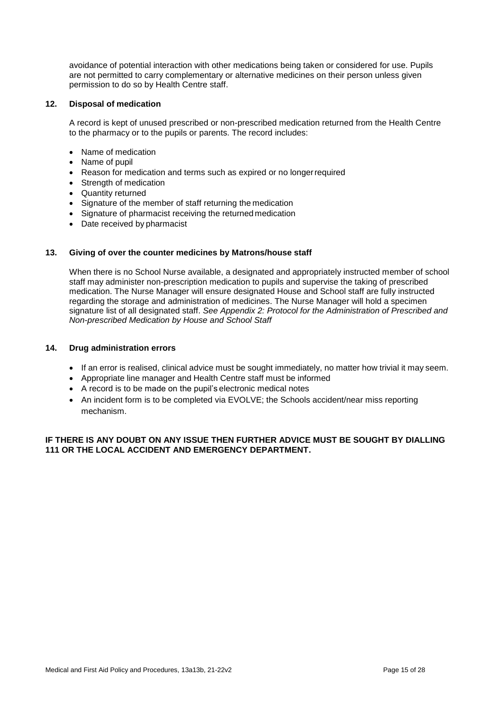avoidance of potential interaction with other medications being taken or considered for use. Pupils are not permitted to carry complementary or alternative medicines on their person unless given permission to do so by Health Centre staff.

#### **12. Disposal of medication**

A record is kept of unused prescribed or non-prescribed medication returned from the Health Centre to the pharmacy or to the pupils or parents. The record includes:

- Name of medication
- Name of pupil
- Reason for medication and terms such as expired or no longerrequired
- Strength of medication
- Quantity returned
- Signature of the member of staff returning the medication
- Signature of pharmacist receiving the returned medication
- Date received by pharmacist

#### **13. Giving of over the counter medicines by Matrons/house staff**

When there is no School Nurse available, a designated and appropriately instructed member of school staff may administer non-prescription medication to pupils and supervise the taking of prescribed medication. The Nurse Manager will ensure designated House and School staff are fully instructed regarding the storage and administration of medicines. The Nurse Manager will hold a specimen signature list of all designated staff. *See Appendix 2: Protocol for the Administration of Prescribed and Non-prescribed Medication by House and School Staff*

#### **14. Drug administration errors**

- If an error is realised, clinical advice must be sought immediately, no matter how trivial it may seem.
- Appropriate line manager and Health Centre staff must be informed
- A record is to be made on the pupil's electronic medical notes
- An incident form is to be completed via EVOLVE; the Schools accident/near miss reporting mechanism.

#### <span id="page-14-0"></span>**IF THERE IS ANY DOUBT ON ANY ISSUE THEN FURTHER ADVICE MUST BE SOUGHT BY DIALLING 111 OR THE LOCAL ACCIDENT AND EMERGENCY DEPARTMENT.**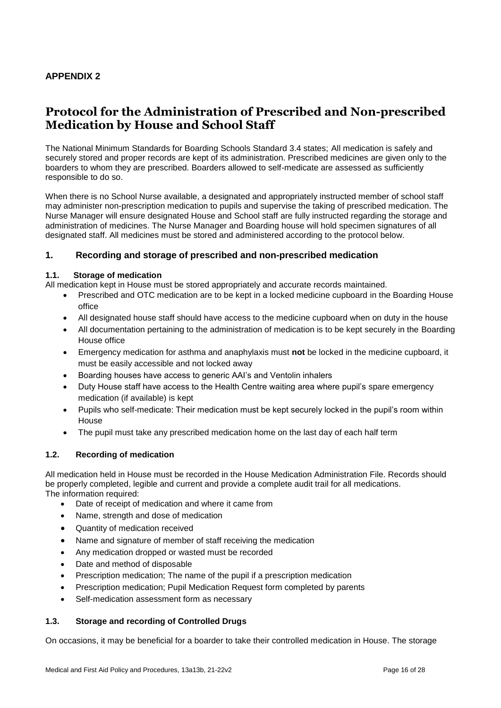## **APPENDIX 2**

# **Protocol for the Administration of Prescribed and Non-prescribed Medication by House and School Staff**

The National Minimum Standards for Boarding Schools Standard 3.4 states; All medication is safely and securely stored and proper records are kept of its administration. Prescribed medicines are given only to the boarders to whom they are prescribed. Boarders allowed to self-medicate are assessed as sufficiently responsible to do so.

When there is no School Nurse available, a designated and appropriately instructed member of school staff may administer non-prescription medication to pupils and supervise the taking of prescribed medication. The Nurse Manager will ensure designated House and School staff are fully instructed regarding the storage and administration of medicines. The Nurse Manager and Boarding house will hold specimen signatures of all designated staff. All medicines must be stored and administered according to the protocol below.

## **1. Recording and storage of prescribed and non-prescribed medication**

### **1.1. Storage of medication**

All medication kept in House must be stored appropriately and accurate records maintained.

- Prescribed and OTC medication are to be kept in a locked medicine cupboard in the Boarding House office
- All designated house staff should have access to the medicine cupboard when on duty in the house
- All documentation pertaining to the administration of medication is to be kept securely in the Boarding House office
- Emergency medication for asthma and anaphylaxis must **not** be locked in the medicine cupboard, it must be easily accessible and not locked away
- Boarding houses have access to generic AAI's and Ventolin inhalers
- Duty House staff have access to the Health Centre waiting area where pupil's spare emergency medication (if available) is kept
- Pupils who self-medicate: Their medication must be kept securely locked in the pupil's room within House
- The pupil must take any prescribed medication home on the last day of each half term

#### **1.2. Recording of medication**

All medication held in House must be recorded in the House Medication Administration File. Records should be properly completed, legible and current and provide a complete audit trail for all medications. The information required:

- Date of receipt of medication and where it came from
- Name, strength and dose of medication
- Quantity of medication received
- Name and signature of member of staff receiving the medication
- Any medication dropped or wasted must be recorded
- Date and method of disposable
- Prescription medication; The name of the pupil if a prescription medication
- Prescription medication; Pupil Medication Request form completed by parents
- Self-medication assessment form as necessary

#### **1.3. Storage and recording of Controlled Drugs**

On occasions, it may be beneficial for a boarder to take their controlled medication in House. The storage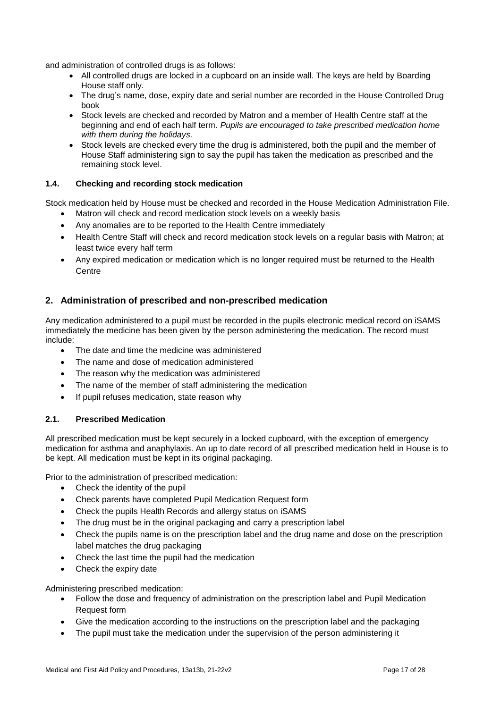and administration of controlled drugs is as follows:

- All controlled drugs are locked in a cupboard on an inside wall. The keys are held by Boarding House staff only.
- The drug's name, dose, expiry date and serial number are recorded in the House Controlled Drug book
- Stock levels are checked and recorded by Matron and a member of Health Centre staff at the beginning and end of each half term. *Pupils are encouraged to take prescribed medication home with them during the holidays.*
- Stock levels are checked every time the drug is administered, both the pupil and the member of House Staff administering sign to say the pupil has taken the medication as prescribed and the remaining stock level.

## **1.4. Checking and recording stock medication**

Stock medication held by House must be checked and recorded in the House Medication Administration File.

- Matron will check and record medication stock levels on a weekly basis
- Any anomalies are to be reported to the Health Centre immediately
- Health Centre Staff will check and record medication stock levels on a regular basis with Matron; at least twice every half term
- Any expired medication or medication which is no longer required must be returned to the Health **Centre**

## **2. Administration of prescribed and non-prescribed medication**

Any medication administered to a pupil must be recorded in the pupils electronic medical record on iSAMS immediately the medicine has been given by the person administering the medication. The record must include:

- The date and time the medicine was administered
- The name and dose of medication administered
- The reason why the medication was administered
- The name of the member of staff administering the medication
- If pupil refuses medication, state reason why

## **2.1. Prescribed Medication**

All prescribed medication must be kept securely in a locked cupboard, with the exception of emergency medication for asthma and anaphylaxis. An up to date record of all prescribed medication held in House is to be kept. All medication must be kept in its original packaging.

Prior to the administration of prescribed medication:

- Check the identity of the pupil
- Check parents have completed Pupil Medication Request form
- Check the pupils Health Records and allergy status on iSAMS
- The drug must be in the original packaging and carry a prescription label
- Check the pupils name is on the prescription label and the drug name and dose on the prescription label matches the drug packaging
- Check the last time the pupil had the medication
- Check the expiry date

Administering prescribed medication:

- Follow the dose and frequency of administration on the prescription label and Pupil Medication Request form
- Give the medication according to the instructions on the prescription label and the packaging
- The pupil must take the medication under the supervision of the person administering it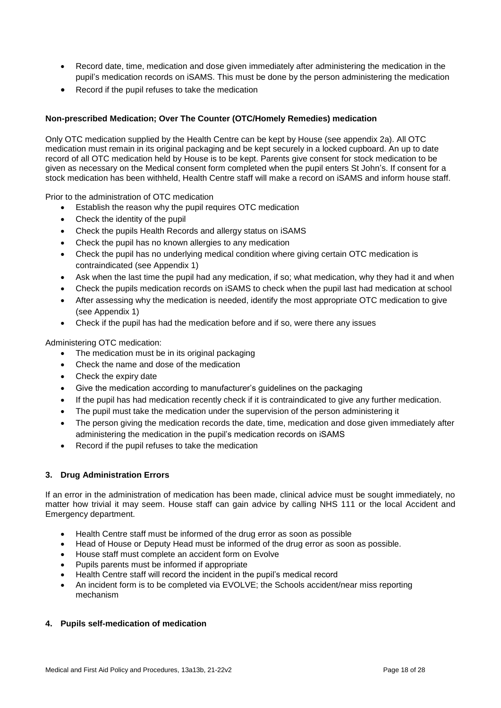- Record date, time, medication and dose given immediately after administering the medication in the pupil's medication records on iSAMS. This must be done by the person administering the medication
- Record if the pupil refuses to take the medication

## **Non-prescribed Medication; Over The Counter (OTC/Homely Remedies) medication**

Only OTC medication supplied by the Health Centre can be kept by House (see appendix 2a). All OTC medication must remain in its original packaging and be kept securely in a locked cupboard. An up to date record of all OTC medication held by House is to be kept. Parents give consent for stock medication to be given as necessary on the Medical consent form completed when the pupil enters St John's. If consent for a stock medication has been withheld, Health Centre staff will make a record on iSAMS and inform house staff.

Prior to the administration of OTC medication

- Establish the reason why the pupil requires OTC medication
- Check the identity of the pupil
- Check the pupils Health Records and allergy status on iSAMS
- Check the pupil has no known allergies to any medication
- Check the pupil has no underlying medical condition where giving certain OTC medication is contraindicated (see Appendix 1)
- Ask when the last time the pupil had any medication, if so; what medication, why they had it and when
- Check the pupils medication records on iSAMS to check when the pupil last had medication at school
- After assessing why the medication is needed, identify the most appropriate OTC medication to give (see Appendix 1)
- Check if the pupil has had the medication before and if so, were there any issues

Administering OTC medication:

- The medication must be in its original packaging
- Check the name and dose of the medication
- Check the expiry date
- Give the medication according to manufacturer's guidelines on the packaging
- If the pupil has had medication recently check if it is contraindicated to give any further medication.
- The pupil must take the medication under the supervision of the person administering it
- The person giving the medication records the date, time, medication and dose given immediately after administering the medication in the pupil's medication records on iSAMS
- Record if the pupil refuses to take the medication

## **3. Drug Administration Errors**

If an error in the administration of medication has been made, clinical advice must be sought immediately, no matter how trivial it may seem. House staff can gain advice by calling NHS 111 or the local Accident and Emergency department.

- Health Centre staff must be informed of the drug error as soon as possible
- Head of House or Deputy Head must be informed of the drug error as soon as possible.
- House staff must complete an accident form on Evolve
- Pupils parents must be informed if appropriate
- Health Centre staff will record the incident in the pupil's medical record
- An incident form is to be completed via EVOLVE; the Schools accident/near miss reporting mechanism

## **4. Pupils self-medication of medication**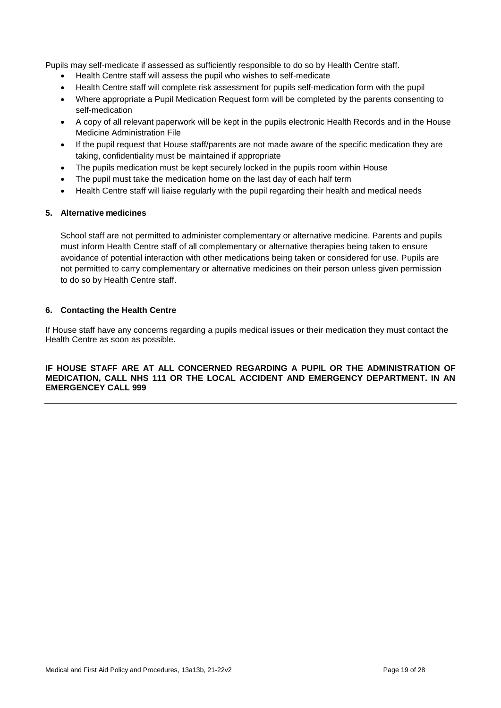Pupils may self-medicate if assessed as sufficiently responsible to do so by Health Centre staff.

- Health Centre staff will assess the pupil who wishes to self-medicate
- Health Centre staff will complete risk assessment for pupils self-medication form with the pupil
- Where appropriate a Pupil Medication Request form will be completed by the parents consenting to self-medication
- A copy of all relevant paperwork will be kept in the pupils electronic Health Records and in the House Medicine Administration File
- If the pupil request that House staff/parents are not made aware of the specific medication they are taking, confidentiality must be maintained if appropriate
- The pupils medication must be kept securely locked in the pupils room within House
- The pupil must take the medication home on the last day of each half term
- Health Centre staff will liaise regularly with the pupil regarding their health and medical needs

#### **5. Alternative medicines**

School staff are not permitted to administer complementary or alternative medicine. Parents and pupils must inform Health Centre staff of all complementary or alternative therapies being taken to ensure avoidance of potential interaction with other medications being taken or considered for use. Pupils are not permitted to carry complementary or alternative medicines on their person unless given permission to do so by Health Centre staff.

#### **6. Contacting the Health Centre**

If House staff have any concerns regarding a pupils medical issues or their medication they must contact the Health Centre as soon as possible.

#### **IF HOUSE STAFF ARE AT ALL CONCERNED REGARDING A PUPIL OR THE ADMINISTRATION OF MEDICATION, CALL NHS 111 OR THE LOCAL ACCIDENT AND EMERGENCY DEPARTMENT. IN AN EMERGENCEY CALL 999**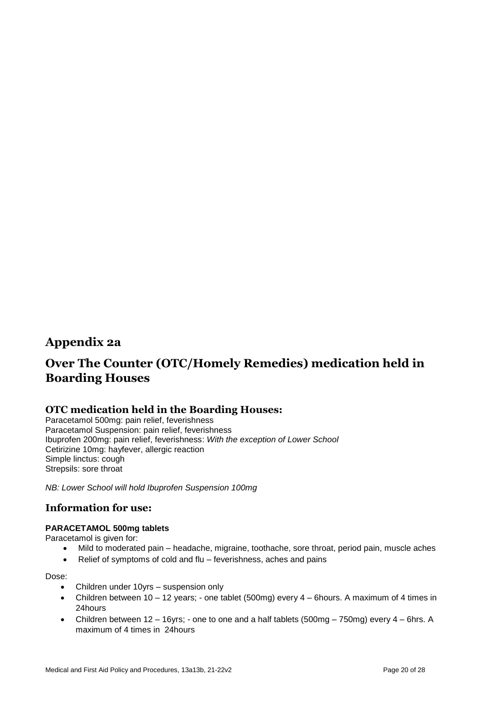## **Appendix 2a**

# **Over The Counter (OTC/Homely Remedies) medication held in Boarding Houses**

## **OTC medication held in the Boarding Houses:**

Paracetamol 500mg: pain relief, feverishness Paracetamol Suspension: pain relief, feverishness Ibuprofen 200mg: pain relief, feverishness: *With the exception of Lower School* Cetirizine 10mg: hayfever, allergic reaction Simple linctus: cough Strepsils: sore throat

*NB: Lower School will hold Ibuprofen Suspension 100mg*

## **Information for use:**

## **PARACETAMOL 500mg tablets**

Paracetamol is given for:

- Mild to moderated pain headache, migraine, toothache, sore throat, period pain, muscle aches
- Relief of symptoms of cold and flu feverishness, aches and pains

#### Dose:

- Children under 10yrs suspension only
- Children between 10 12 years; one tablet (500mg) every 4 6hours. A maximum of 4 times in 24hours
- Children between 12 16yrs; one to one and a half tablets (500mg 750mg) every 4 6hrs. A maximum of 4 times in 24hours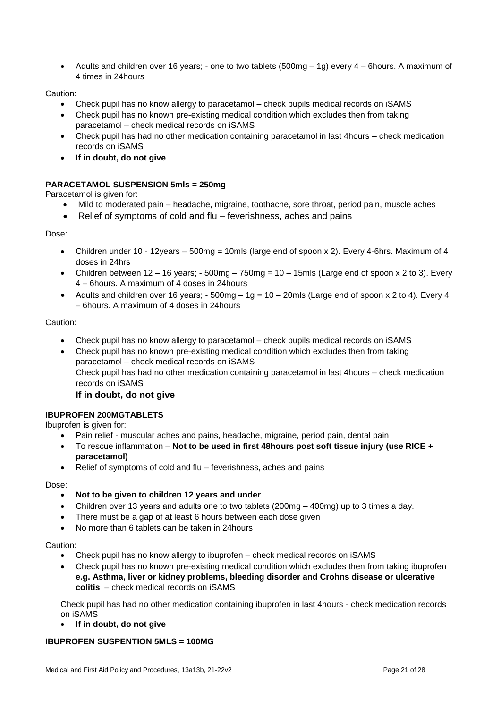Adults and children over 16 years; - one to two tablets (500mg – 1g) every 4 – 6hours. A maximum of 4 times in 24hours

Caution:

- Check pupil has no know allergy to paracetamol check pupils medical records on iSAMS
- Check pupil has no known pre-existing medical condition which excludes then from taking paracetamol – check medical records on iSAMS
- Check pupil has had no other medication containing paracetamol in last 4hours check medication records on iSAMS
- **If in doubt, do not give**

## **PARACETAMOL SUSPENSION 5mls = 250mg**

Paracetamol is given for:

- Mild to moderated pain headache, migraine, toothache, sore throat, period pain, muscle aches
- Relief of symptoms of cold and flu feverishness, aches and pains

Dose:

- Children under 10 12years 500mg = 10mls (large end of spoon x 2). Every 4-6hrs. Maximum of 4 doses in 24hrs
- Children between  $12 16$  years;  $-500$ mg  $-750$ mg  $= 10 15$ mls (Large end of spoon x 2 to 3). Every 4 – 6hours. A maximum of 4 doses in 24hours
- Adults and children over 16 years;  $-500$ mg  $-1g = 10 20$ mls (Large end of spoon x 2 to 4). Every 4 – 6hours. A maximum of 4 doses in 24hours

Caution:

- Check pupil has no know allergy to paracetamol check pupils medical records on iSAMS
- Check pupil has no known pre-existing medical condition which excludes then from taking paracetamol – check medical records on iSAMS Check pupil has had no other medication containing paracetamol in last 4hours – check medication records on iSAMS

**If in doubt, do not give**

## **IBUPROFEN 200MGTABLETS**

Ibuprofen is given for:

- Pain relief muscular aches and pains, headache, migraine, period pain, dental pain
- To rescue inflammation **Not to be used in first 48hours post soft tissue injury (use RICE + paracetamol)**
- Relief of symptoms of cold and flu feverishness, aches and pains

Dose:

- **Not to be given to children 12 years and under**
- Children over 13 years and adults one to two tablets (200mg 400mg) up to 3 times a day.
- There must be a gap of at least 6 hours between each dose given
- No more than 6 tablets can be taken in 24hours

Caution:

- Check pupil has no know allergy to ibuprofen check medical records on iSAMS
- Check pupil has no known pre-existing medical condition which excludes then from taking ibuprofen **e.g. Asthma, liver or kidney problems, bleeding disorder and Crohns disease or ulcerative colitis** – check medical records on iSAMS

Check pupil has had no other medication containing ibuprofen in last 4hours - check medication records on iSAMS

I**f in doubt, do not give**

## **IBUPROFEN SUSPENTION 5MLS = 100MG**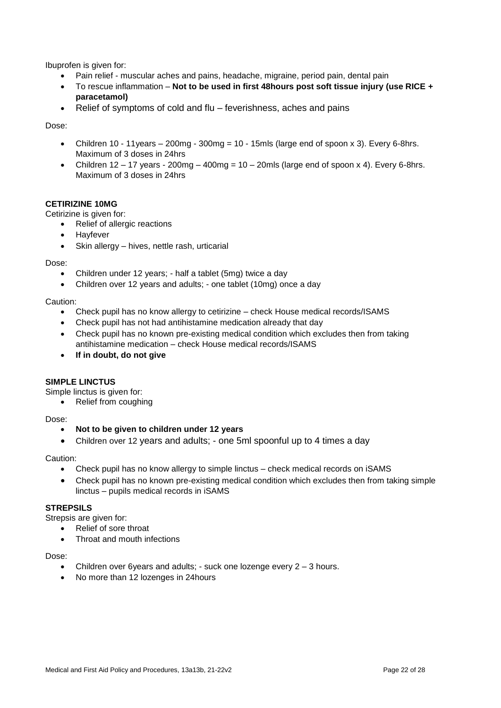Ibuprofen is given for:

- Pain relief muscular aches and pains, headache, migraine, period pain, dental pain
- To rescue inflammation **Not to be used in first 48hours post soft tissue injury (use RICE + paracetamol)**
- Relief of symptoms of cold and flu feverishness, aches and pains

Dose:

- Children 10 11 years  $-200$  mg 300 mg = 10 15mls (large end of spoon x 3). Every 6-8 hrs. Maximum of 3 doses in 24hrs
- Children  $12 17$  years  $200$ mg  $400$ mg  $= 10 20$ mls (large end of spoon x 4). Every 6-8hrs. Maximum of 3 doses in 24hrs

#### **CETIRIZINE 10MG**

Cetirizine is given for:

- Relief of allergic reactions
- Hayfever
- Skin allergy hives, nettle rash, urticarial

Dose:

- Children under 12 years; half a tablet (5mg) twice a day
- Children over 12 years and adults; one tablet (10mg) once a day

Caution:

- Check pupil has no know allergy to cetirizine check House medical records/ISAMS
- Check pupil has not had antihistamine medication already that day
- Check pupil has no known pre-existing medical condition which excludes then from taking antihistamine medication – check House medical records/ISAMS
- **If in doubt, do not give**

## **SIMPLE LINCTUS**

Simple linctus is given for:

• Relief from coughing

Dose:

- **Not to be given to children under 12 years**
- Children over 12 years and adults; one 5ml spoonful up to 4 times a day

Caution:

- Check pupil has no know allergy to simple linctus check medical records on iSAMS
- Check pupil has no known pre-existing medical condition which excludes then from taking simple linctus – pupils medical records in iSAMS

#### **STREPSILS**

Strepsis are given for:

- Relief of sore throat
- Throat and mouth infections

Dose:

- Children over 6years and adults; suck one lozenge every 2 3 hours.
- No more than 12 lozenges in 24hours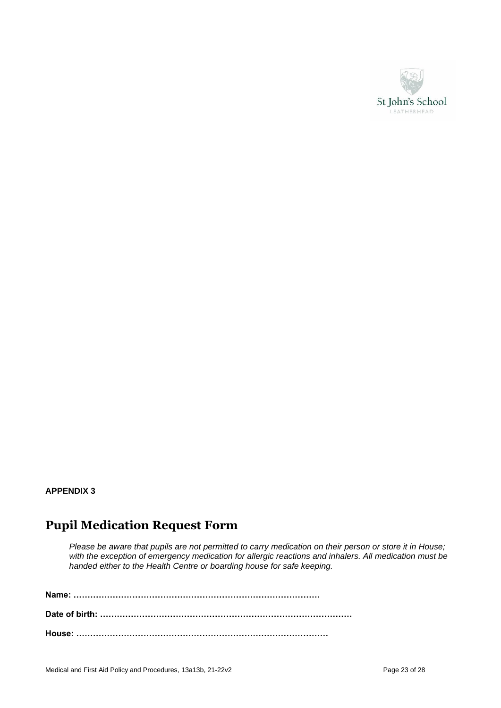

## **APPENDIX 3**

# **Pupil Medication Request Form**

*Please be aware that pupils are not permitted to carry medication on their person or store it in House;*  with the exception of emergency medication for allergic reactions and inhalers. All medication must be *handed either to the Health Centre or boarding house for safe keeping.*

**Name: ……………………………………………………………………………. Date of birth: ……………………………………………………………………………… House: ………………………………………………………………………………**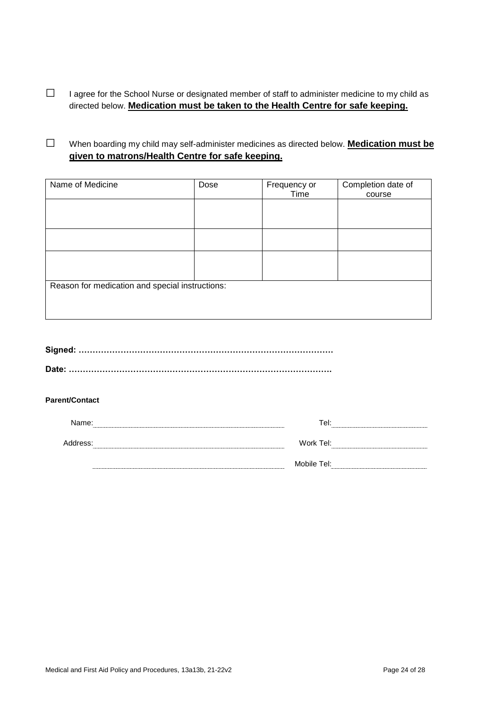□ I agree for the School Nurse or designated member of staff to administer medicine to my child as directed below. **Medication must be taken to the Health Centre for safe keeping.**

□ When boarding my child may self-administer medicines as directed below. **Medication must be given to matrons/Health Centre for safe keeping.**

| Name of Medicine                                | Dose | Frequency or | Completion date of |  |
|-------------------------------------------------|------|--------------|--------------------|--|
|                                                 |      | Time         | course             |  |
|                                                 |      |              |                    |  |
|                                                 |      |              |                    |  |
|                                                 |      |              |                    |  |
|                                                 |      |              |                    |  |
|                                                 |      |              |                    |  |
|                                                 |      |              |                    |  |
|                                                 |      |              |                    |  |
|                                                 |      |              |                    |  |
| Reason for medication and special instructions: |      |              |                    |  |
|                                                 |      |              |                    |  |
|                                                 |      |              |                    |  |
|                                                 |      |              |                    |  |

#### **Parent/Contact**

| Name:    | Tel:        |
|----------|-------------|
|          |             |
| Address: | Work Tel:   |
|          |             |
|          | Mobile Tel: |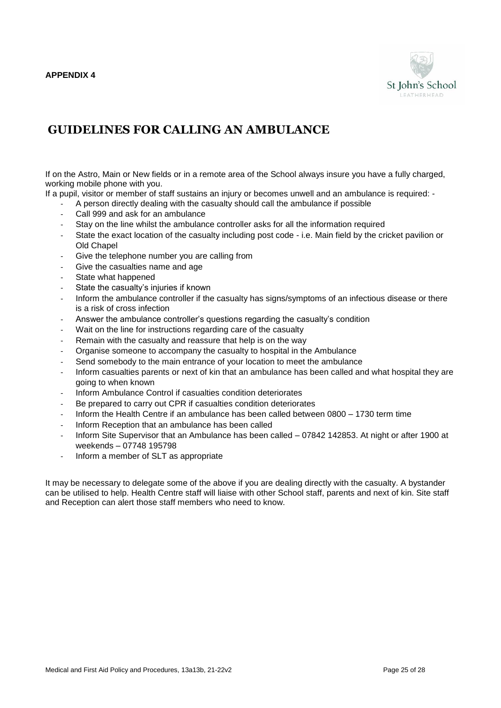

# <span id="page-24-0"></span>**GUIDELINES FOR CALLING AN AMBULANCE**

If on the Astro, Main or New fields or in a remote area of the School always insure you have a fully charged, working mobile phone with you.

If a pupil, visitor or member of staff sustains an injury or becomes unwell and an ambulance is required: -

- A person directly dealing with the casualty should call the ambulance if possible
- Call 999 and ask for an ambulance
- Stay on the line whilst the ambulance controller asks for all the information required
- State the exact location of the casualty including post code i.e. Main field by the cricket pavilion or Old Chapel
- Give the telephone number you are calling from
- Give the casualties name and age
- State what happened
- State the casualty's injuries if known
- Inform the ambulance controller if the casualty has signs/symptoms of an infectious disease or there is a risk of cross infection
- Answer the ambulance controller's questions regarding the casualty's condition
- Wait on the line for instructions regarding care of the casualty
- Remain with the casualty and reassure that help is on the way
- Organise someone to accompany the casualty to hospital in the Ambulance
- Send somebody to the main entrance of your location to meet the ambulance
- Inform casualties parents or next of kin that an ambulance has been called and what hospital they are going to when known
- Inform Ambulance Control if casualties condition deteriorates
- Be prepared to carry out CPR if casualties condition deteriorates
- Inform the Health Centre if an ambulance has been called between 0800 1730 term time
- Inform Reception that an ambulance has been called
- Inform Site Supervisor that an Ambulance has been called 07842 142853. At night or after 1900 at weekends – 07748 195798
- Inform a member of SLT as appropriate

It may be necessary to delegate some of the above if you are dealing directly with the casualty. A bystander can be utilised to help. Health Centre staff will liaise with other School staff, parents and next of kin. Site staff and Reception can alert those staff members who need to know.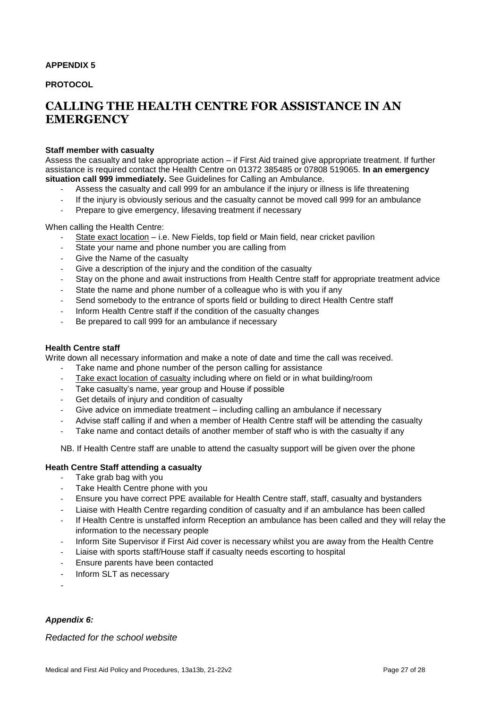#### <span id="page-26-0"></span>**APPENDIX 5**

**PROTOCOL** 

# **CALLING THE HEALTH CENTRE FOR ASSISTANCE IN AN EMERGENCY**

#### **Staff member with casualty**

Assess the casualty and take appropriate action – if First Aid trained give appropriate treatment. If further assistance is required contact the Health Centre on 01372 385485 or 07808 519065. **In an emergency situation call 999 immediately.** See Guidelines for Calling an Ambulance.

- Assess the casualty and call 999 for an ambulance if the injury or illness is life threatening<br>- If the injury is obviously serious and the casualty cannot be moved call 999 for an ambular
- If the injury is obviously serious and the casualty cannot be moved call 999 for an ambulance
- Prepare to give emergency, lifesaving treatment if necessary

When calling the Health Centre:

- State exact location i.e. New Fields, top field or Main field, near cricket pavilion
- State your name and phone number you are calling from
- Give the Name of the casualty
- Give a description of the injury and the condition of the casualty
- Stay on the phone and await instructions from Health Centre staff for appropriate treatment advice
- State the name and phone number of a colleague who is with you if any
- Send somebody to the entrance of sports field or building to direct Health Centre staff
- Inform Health Centre staff if the condition of the casualty changes
- Be prepared to call 999 for an ambulance if necessary

#### **Health Centre staff**

Write down all necessary information and make a note of date and time the call was received.

- Take name and phone number of the person calling for assistance
- Take exact location of casualty including where on field or in what building/room
- Take casualty's name, year group and House if possible
- Get details of injury and condition of casualty
- Give advice on immediate treatment including calling an ambulance if necessary
- Advise staff calling if and when a member of Health Centre staff will be attending the casualty
- Take name and contact details of another member of staff who is with the casualty if any

NB. If Health Centre staff are unable to attend the casualty support will be given over the phone

#### **Heath Centre Staff attending a casualty**

- Take grab bag with you
- Take Health Centre phone with you
- Ensure you have correct PPE available for Health Centre staff, staff, casualty and bystanders
- Liaise with Health Centre regarding condition of casualty and if an ambulance has been called
- If Health Centre is unstaffed inform Reception an ambulance has been called and they will relay the information to the necessary people
- Inform Site Supervisor if First Aid cover is necessary whilst you are away from the Health Centre
- Liaise with sports staff/House staff if casualty needs escorting to hospital
- <span id="page-26-1"></span>Ensure parents have been contacted
- Inform SLT as necessary
- -

#### *Appendix 6:*

*Redacted for the school website*